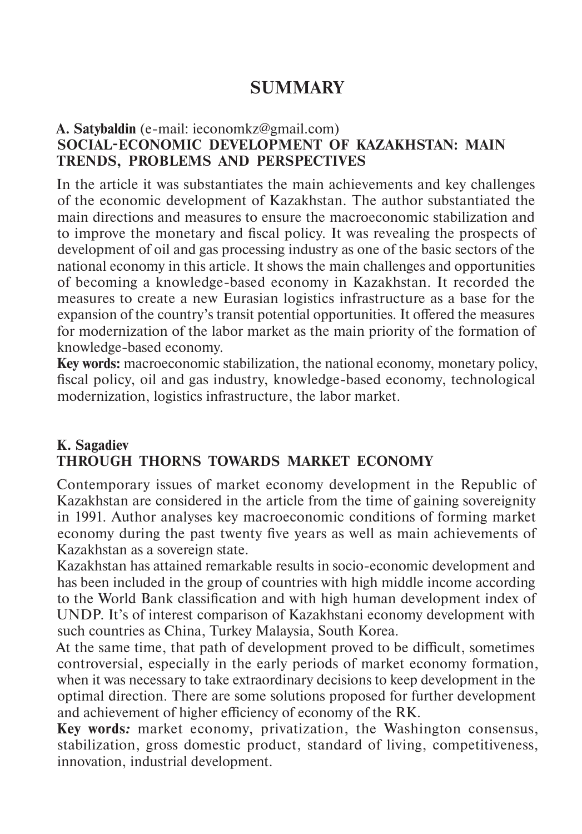# **SUMMARY**

#### **A. Satybaldin** (e-mail: ieconomkz@gmail.com) **SOCIAL-ECONOMIC DEVELOPMENT OF KAZAKHSTAN: MAIN TRENDS, PROBLEMS AND PERSPECTIVES**

In the article it was substantiates the main achievements and key challenges of the economic development of Kazakhstan. The author substantiated the main directions and measures to ensure the macroeconomic stabilization and to improve the monetary and fiscal policy. It was revealing the prospects of development of oil and gas processing industry as one of the basic sectors of the national economy in this article. It shows the main challenges and opportunities of becoming a knowledge-based economy in Kazakhstan. It recorded the measures to create a new Eurasian logistics infrastructure as a base for the expansion of the country's transit potential opportunities. It offered the measures for modernization of the labor market as the main priority of the formation of knowledge-based economy.

**Key words:** macroeconomic stabilization, the national economy, monetary policy, fiscal policy, oil and gas industry, knowledge-based economy, technological modernization, logistics infrastructure, the labor market.

#### **K. Sagadiev THROUGH THORNS TOWARDS MARKET ECONOMY**

Contemporary issues of market economy development in the Republic of Kazakhstan are considered in the article from the time of gaining sovereignity in 1991. Author analyses key macroeconomic conditions of forming market economy during the past twenty five years as well as main achievements of Kazakhstan as a sovereign state.

Kazakhstan has attained remarkable results in socio-economic development and has been included in the group of countries with high middle income according to the World Bank classification and with high human development index of UNDP. It's of interest comparison of Kazakhstani economy development with such countries as China, Turkey Malaysia, South Korea.

At the same time, that path of development proved to be difficult, sometimes controversial, especially in the early periods of market economy formation, when it was necessary to take extraordinary decisions to keep development in the optimal direction. There are some solutions proposed for further development and achievement of higher efficiency of economy of the RK.

**Key words***:* market economy, privatization, the Washington consensus, stabilization, gross domestic product, standard of living, competitiveness, innovation, industrial development.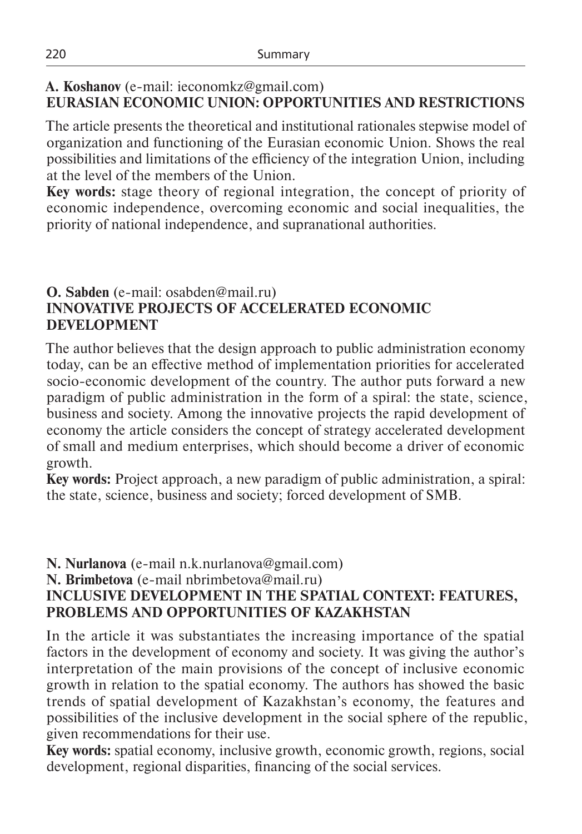## **A. Koshanov** (e-mail: ieconomkz@gmail.com) **EURASIAN ECONOMIC UNION: OPPORTUNITIES AND RESTRICTIONS**

The article presents the theoretical and institutional rationales stepwise model of organization and functioning of the Eurasian economic Union. Shows the real possibilities and limitations of the efficiency of the integration Union, including at the level of the members of the Union.

**Key words:** stage theory of regional integration, the concept of priority of economic independence, overcoming economic and social inequalities, the priority of national independence, and supranational authorities.

#### **O. Sabden** (e-mail: osabden@mail.ru) **INNOVATIVE PROJECTS OF ACCELERATED ECONOMIC DEVELOPMENT**

The author believes that the design approach to public administration economy today, can be an effective method of implementation priorities for accelerated socio-economic development of the country. The author puts forward a new paradigm of public administration in the form of a spiral: the state, science, business and society. Among the innovative projects the rapid development of economy the article considers the concept of strategy accelerated development of small and medium enterprises, which should become a driver of economic growth.

**Key words:** Project approach, a new paradigm of public administration, a spiral: the state, science, business and society; forced development of SMB.

## **N. Nurlanova** (e-mail n.k.nurlanova@gmail.com)

**N. Brimbetova** (e-mail nbrimbetova@mail.ru)

## **INCLUSIVE DEVELOPMENT IN THE SPATIAL CONTEXT: FEATURES, PROBLEMS AND OPPORTUNITIES OF KAZAKHSTAN**

In the article it was substantiates the increasing importance of the spatial factors in the development of economy and society. It was giving the author's interpretation of the main provisions of the concept of inclusive economic growth in relation to the spatial economy. The authors has showed the basic trends of spatial development of Kazakhstan's economy, the features and possibilities of the inclusive development in the social sphere of the republic, given recommendations for their use.

**Key words:** spatial economy, inclusive growth, economic growth, regions, social development, regional disparities, financing of the social services.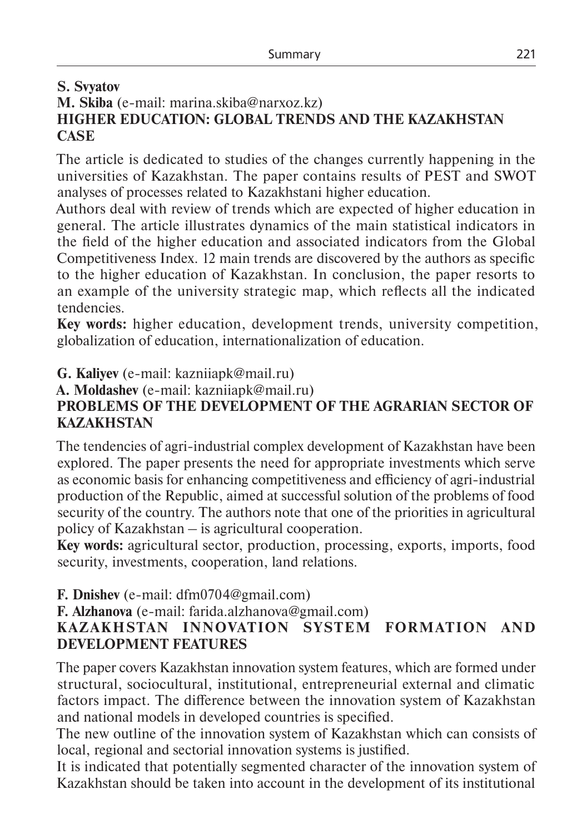## **S. Svyatov M. Skiba** (e-mail: marina.skiba@narxoz.kz) **HIGHER EDUCATION: GLOBAL TRENDS AND THE KAZAKHSTAN CASE**

The article is dedicated to studies of the changes currently happening in the universities of Kazakhstan. The paper contains results of PEST and SWOT analyses of processes related to Kazakhstani higher education.

Authors deal with review of trends which are expected of higher education in general. The article illustrates dynamics of the main statistical indicators in the field of the higher education and associated indicators from the Global Competitiveness Index. 12 main trends are discovered by the authors as specific to the higher education of Kazakhstan. In conclusion, the paper resorts to an example of the university strategic map, which reflects all the indicated tendencies.

**Key words:** higher education, development trends, university competition, globalization of education, internationalization of education.

**G. Kaliyev** (e-mail: kazniiapk@mail.ru)

**A. Moldashev** (e-mail: kazniiapk@mail.ru)

## **PROBLEMS OF THE DEVELOPMENT OF THE AGRARIAN SECTOR OF KAZAKHSTAN**

The tendencies of agri-industrial complex development of Kazakhstan have been explored. The paper presents the need for appropriate investments which serve as economic basis for enhancing competitiveness and efficiency of agri-industrial production of the Republic, aimed at successful solution of the problems of food security of the country. The authors note that one of the priorities in agricultural policy of Kazakhstan – is agricultural cooperation.

**Key words:** agricultural sector, production, processing, exports, imports, food security, investments, cooperation, land relations.

**F. Dnishev** (e-mail: dfm0704@gmail.com)

**F. Alzhanova** (e-mail: farida.alzhanova@gmail.com)

## **KAZAKHSTAN INNOVATION SYSTEM FORMATION AND DEVELOPMENT FEATURES**

The paper covers Kazakhstan innovation system features, which are formed under structural, sociocultural, institutional, entrepreneurial external and climatic factors impact. The difference between the innovation system of Kazakhstan and national models in developed countries is specified.

The new outline of the innovation system of Kazakhstan which can consists of local, regional and sectorial innovation systems is justified.

It is indicated that potentially segmented character of the innovation system of Kazakhstan should be taken into account in the development of its institutional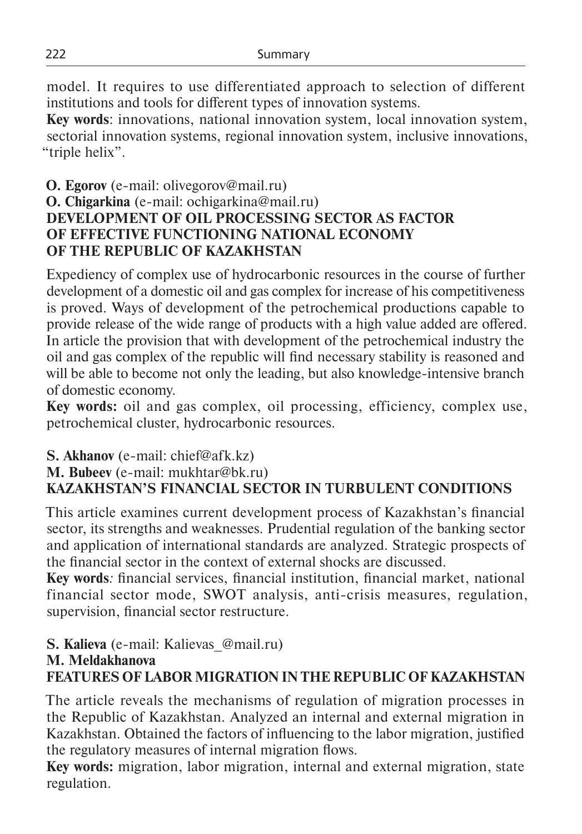model. It requires to use differentiated approach to selection of different institutions and tools for different types of innovation systems.

**Key words**: innovations, national innovation system, local innovation system, sectorial innovation systems, regional innovation system, inclusive innovations, "triple helix".

## **О. Еgorov** (e-mail: olivegorov@mail.ru) **О. Chigarkina** (e-mail: ochigarkina@mail.ru) **DEVELOPMENT OF OIL PROCESSING SECTOR AS FACTOR OF EFFECTIVE FUNCTIONING NATIONAL ECONOMY OF THE REPUBLIC OF KAZAKHSTAN**

Expediency of complex use of hydrocarbonic resources in the course of further development of a domestic oil and gas complex for increase of his competitiveness is proved. Ways of development of the petrochemical productions capable to provide release of the wide range of products with a high value added are offered. In article the provision that with development of the petrochemical industry the oil and gas complex of the republic will find necessary stability is reasoned and will be able to become not only the leading, but also knowledge-intensive branch of domestic economy.

**Key words:** оil and gas complex, oil processing, efficiency, complex use, petrochemical cluster, hydrocarbonic resources.

#### **S. Akhanov** (e-mail: chief@afk.kz) **M. Bubeev** (e-mail: mukhtar@bk.ru) **KAZAKHSTAN'S FINANCIAL SECTOR IN TURBULENT CONDITIONS**

This article examines current development process of Kazakhstan's financial sector, its strengths and weaknesses. Prudential regulation of the banking sector and application of international standards are analyzed. Strategic prospects of the financial sector in the context of external shocks are discussed.

**Key words***:* financial services, financial institution, financial market, national financial sector mode, SWOT analysis, anti-crisis measures, regulation, supervision, financial sector restructure.

**S. Kalieva** (e-mail: Kalievas\_@mail.ru)

#### **M. Meldakhanova**

## **FEATURES OF LABOR MIGRATION IN THE REPUBLIC OF KAZAKHSTAN**

The article reveals the mechanisms of regulation of migration processes in the Republic of Kazakhstan. Analyzed an internal and external migration in Kazakhstan. Obtained the factors of influencing to the labor migration, justified the regulatory measures of internal migration flows.

**Key words:** migration, labor migration, internal and external migration, state regulation.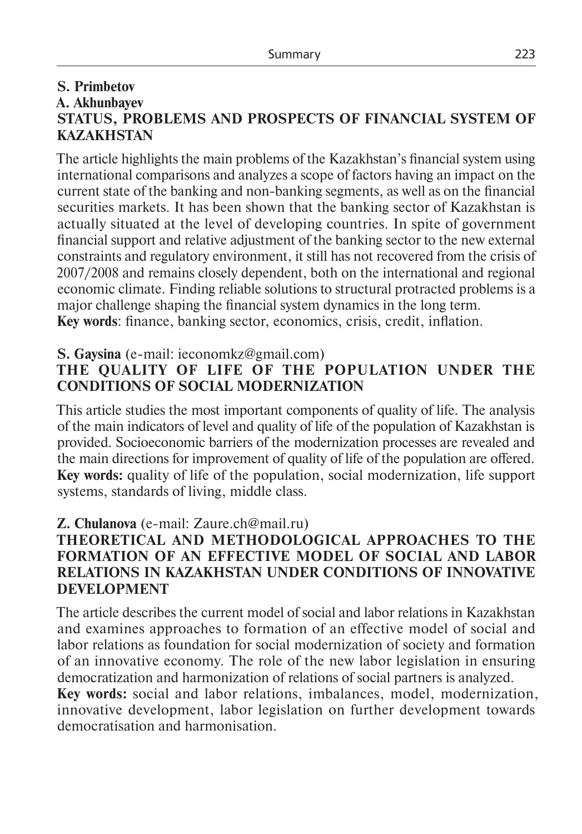#### **S. Primbetov A. Akhunbayev STATUS, PROBLEMS AND PROSPECTS OF FINANCIAL SYSTEM OF KAZAKHSTAN**

The article highlights the main problems of the Kazakhstan's financial system using international comparisons and analyzes a scope of factors having an impact on the current state of the banking and non-banking segments, as well as on the financial securities markets. It has been shown that the banking sector of Kazakhstan is actually situated at the level of developing countries. In spite of government financial support and relative adjustment of the banking sector to the new external constraints and regulatory environment, it still has not recovered from the crisis of 2007/2008 and remains closely dependent, both on the international and regional economic climate. Finding reliable solutions to structural protracted problems is a major challenge shaping the financial system dynamics in the long term. **Key words**: finance, banking sector, economics, crisis, credit, inflation.

#### **S. Gaysina** (е-mail: ieconomkz@gmail.com)

## **THE QUALITY OF LIFE OF THE POPULATION UNDER THE CONDITIONS OF SOCIAL MODERNIZATION**

This article studies the most important components of quality of life. The analysis of the main indicators of level and quality of life of the population of Kazakhstan is provided. Socioeconomic barriers of the modernization processes are revealed and the main directions for improvement of quality of life of the population are offered. **Key words:** quality of life of the population, social modernization, life support systems, standards of living, middle class.

#### **Z. Chulanova** (e-mail: Zaure.ch@mail.ru)

#### **THEORETICAL AND METHODOLOGICAL APPROACHES TO THE FORMATION OF AN EFFECTIVE MODEL OF SOCIAL AND LABOR RELATIONS IN KAZAKHSTAN UNDER CONDITIONS OF INNOVATIVE DEVELOPMENT**

The article describes the current model of social and labor relations in Kazakhstan and examines approaches to formation of an effective model of social and labor relations as foundation for social modernization of society and formation of an innovative economy. The role of the new labor legislation in ensuring democratization and harmonization of relations of social partners is analyzed.

**Key words:** social and labor relations, imbalances, model, modernization, innovative development, labor legislation on further development towards democratisation and harmonisation.